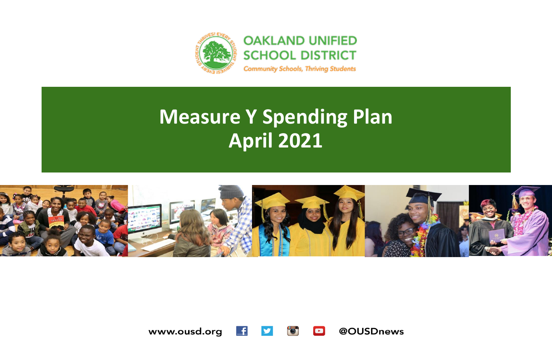



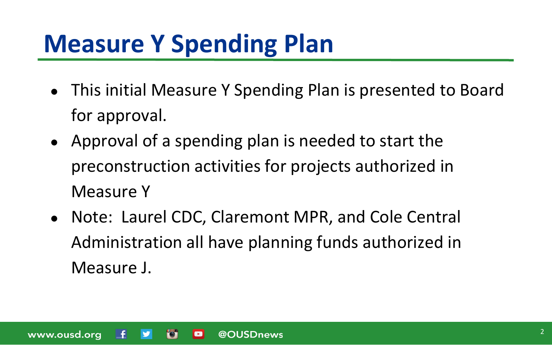- This initial Measure Y Spending Plan is presented to Board for approval.
- Approval of a spending plan is needed to start the preconstruction activities for projects authorized in Measure Y
- Note: Laurel CDC, Claremont MPR, and Cole Central Administration all have planning funds authorized in Measure J.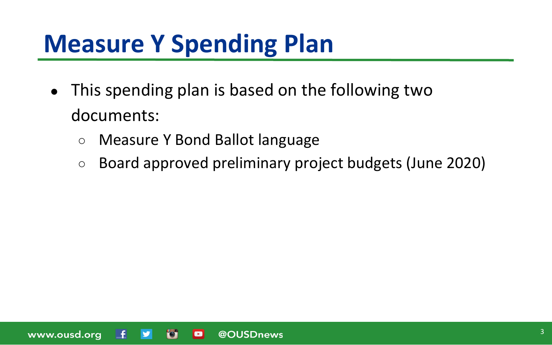- This spending plan is based on the following two documents:
	- Measure Y Bond Ballot language
	- Board approved preliminary project budgets (June 2020)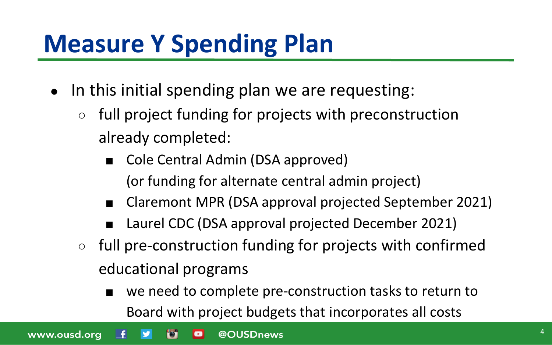- In this initial spending plan we are requesting:
	- full project funding for projects with preconstruction already completed:
		- Cole Central Admin (DSA approved) (or funding for alternate central admin project)
		- Claremont MPR (DSA approval projected September 2021)
		- Laurel CDC (DSA approval projected December 2021)
	- full pre-construction funding for projects with confirmed educational programs
		- we need to complete pre-construction tasks to return to Board with project budgets that incorporates all costs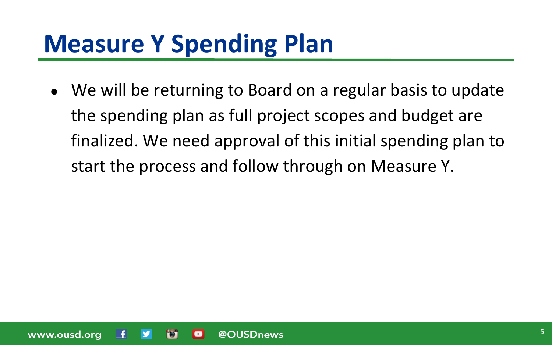• We will be returning to Board on a regular basis to update the spending plan as full project scopes and budget are finalized. We need approval of this initial spending plan to start the process and follow through on Measure Y.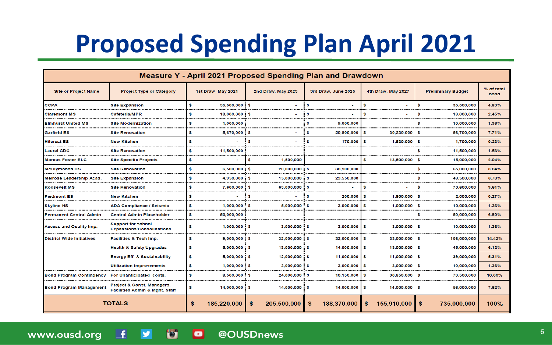# **Proposed Spending Plan April 2021**

| Measure Y - April 2021 Proposed Spending Plan and Drawdown |                                                                         |                                 |                                |                            |                       |                           |                    |
|------------------------------------------------------------|-------------------------------------------------------------------------|---------------------------------|--------------------------------|----------------------------|-----------------------|---------------------------|--------------------|
| <b>Site or Project Name</b>                                | <b>Project Type or Category</b>                                         | 1st Draw May 2021               | 2nd Draw, May 2023             | 3rd Draw, June 2025        | 4th Draw, May 2027    | <b>Preliminary Budget</b> | % of total<br>bond |
| <b>CCPA</b>                                                | <b>Site Expansion</b>                                                   | s<br>$35.500.000$ : \$          |                                | S.                         | s                     | \$.<br>35.500.000         | 4.83%              |
| <b>Claremont MS</b>                                        | Cafeteria/MPR                                                           | s<br>18,000,000                 | S                              | Ŝ                          | s                     | 18,000,000<br>Ŝ           | 2.45%              |
| <b>Elmhurst United MS</b>                                  | <b>Site Modernization</b>                                               | S<br>1,000,000                  |                                | S<br>9,000,000             |                       | 10,000,000<br>\$.         | 1.36%              |
| <b>Garfield ES</b>                                         | <b>Site Renovation</b>                                                  | \$<br>$5,670,000$ \$            | ÷                              | $20.800,000$ \$<br>\$      | 30,230,000            | S<br>56,700,000           | 7.71%              |
| <b>Hilcrest ES</b>                                         | <b>New Kitchen</b>                                                      | \$                              | \$<br>$\overline{\phantom{a}}$ | \$<br>$170,000$ \$         | $1,530,000$ \$        | 1,700,000                 | 0.23%              |
| Laurel CDC                                                 | <b>Site Renovation</b>                                                  | s<br>11,500,000                 |                                |                            |                       | 11,500,000<br>s           | 1.56%              |
| <b>Marcus Foster ELC</b>                                   | <b>Site Specific Projects</b>                                           | s                               | 1.500.000<br>S                 |                            | S<br>13,500,000       | \$<br>15,000,000          | 2.04%              |
| <b>McClymonds HS</b>                                       | <b>Site Renovation</b>                                                  | Ś<br>$6,500,000$ $\frac{1}{5}$  | $20,000,000$ \$                | 38,500,000                 |                       | \$.<br>65,000,000         | 8.84%              |
| <b>Melrose Leadership Acad.</b>                            | <b>Site Expansion</b>                                                   | \$<br>$4.950,000$ \$            | $15,000,000$ $\frac{1}{5}$     | 29,550,000                 |                       | 49,500,000<br>s           | 6.73%              |
| <b>Roosevelt MS</b>                                        | <b>Site Renovation</b>                                                  | \$<br>$7,600,000$ $\frac{1}{5}$ | 63,000,000 \$                  | ÷                          | s                     | s.<br>70.600.000          | 9.61%              |
| lPiedmont ES                                               | <b>New Kitchen</b>                                                      | s                               | s.                             | \$<br>200,000              | <b>S</b><br>1,800,000 | 2.000.000<br>s            | 0.27%              |
| <b>Skyline HS</b>                                          | <b>ADA Compliance / Seismic</b>                                         | s<br>1.000.000                  | ! s<br>$5.000.000$ $\approx$   | 3.000.000                  | S<br>1.000.000        | \$.<br>10.000.000         | 1.36%              |
| <b>Permanent Central Admin</b>                             | <b>Central Admin Placeholder</b>                                        | s<br>50,000,000                 |                                |                            |                       | 50,000,000<br>S           | 6.80%              |
| <b>Access and Quality Imp.</b>                             | <b>Support for school</b><br><b>Expansions/Consolidations</b>           | s<br>$1.000.000$ \$             | $3.000.000$ \$                 | $3.000.000$   \$           | $3,000,000$ \$        | 10.000.000                | 1.36%              |
| <b>District Wide Initiatives</b>                           | <b>Facilities &amp; Tech Imp.</b>                                       | \$<br>$9,000,000$ \$            | $32,000,000$ $\frac{1}{5}$     | $32,000,000$ $\frac{1}{5}$ | $33,000,000$   \$     | 106,000,000               | 14.42%             |
|                                                            | <b>Health &amp; Safety Upgrades</b>                                     | s<br>$5,000,000$ $\frac{1}{5}$  | $13,000,000$ $\frac{1}{3}$     | $14,000,000$ \$            | $13,000,000$ \$       | 45,000,000                | 6.12%              |
|                                                            | <b>Energy Eff. &amp; Sustainability</b>                                 | \$<br>$5.000.000$ $\pm$ \$      | $12.000.000 \pm$ \$            | $11.000.000$ S             | $11.000.000$   \$     | 39.000.000                | 5.31%              |
|                                                            | <b>Utilization Improvements</b>                                         | \$<br>$1,000,000$ $\pm$ \$      | $3,000,000$ $\pm$ \$           | $3,000,000$ $\frac{1}{5}$  | 3,000,000             | S<br>10,000,000           | 1.36%              |
| <b>Bond Program Contingency</b>                            | For Unanticipated costs.                                                | s<br>8,500,000 \$               | $24,000,000$ \$                | $10,150,000$ \$            | 30,850,000            | S<br>73,500,000           | 10.00%             |
| <b>Bond Program Management</b>                             | Project & Const. Managers.<br><b>Facilities Admin &amp; Mgnt. Staff</b> | \$<br>14,000,000 \$             | $14,000,000$ \$                | $14,000,000$ \$            | $14,000,000$ \$       | 56,000,000                | 7.62%              |
|                                                            | <b>TOTALS</b>                                                           | \$<br>185,220,000               | -S<br>205,500,000              | \$.<br>188,370,000         | -S<br>155,910,000     | \$<br>735,000,000         | 100%               |

 $\blacktriangleright$ 

**D** 

 $\Box$